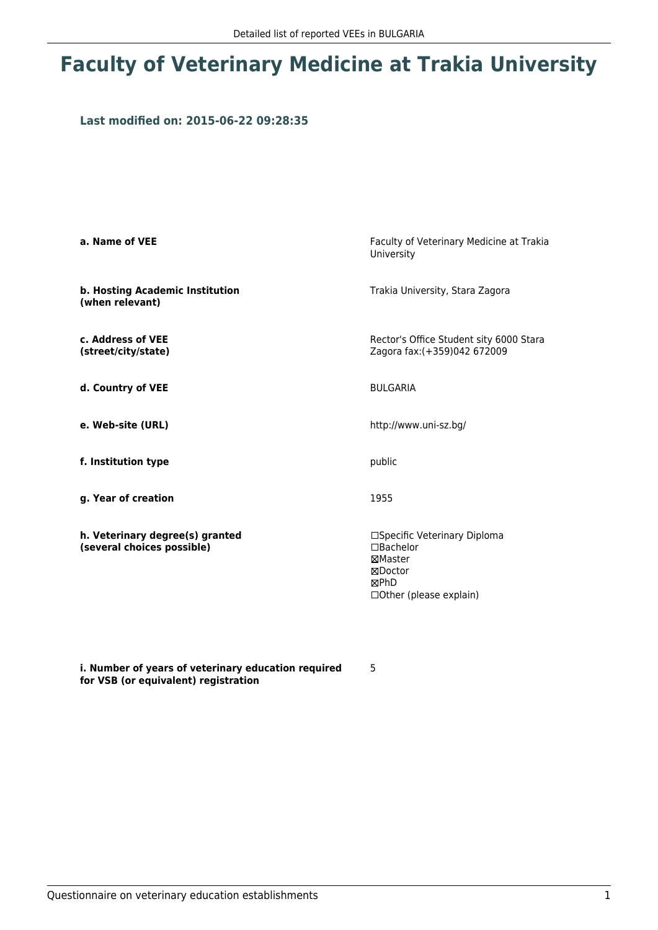## **Faculty of Veterinary Medicine at Trakia University**

### **Last modified on: 2015-06-22 09:28:35**

| a. Name of VEE                                                | Faculty of Veterinary Medicine at Trakia<br>University                                                         |  |  |
|---------------------------------------------------------------|----------------------------------------------------------------------------------------------------------------|--|--|
| b. Hosting Academic Institution<br>(when relevant)            | Trakia University, Stara Zagora                                                                                |  |  |
| c. Address of VEE<br>(street/city/state)                      | Rector's Office Student sity 6000 Stara<br>Zagora fax: (+359)042 672009                                        |  |  |
| d. Country of VEE                                             | <b>BUI GARIA</b>                                                                                               |  |  |
| e. Web-site (URL)                                             | http://www.uni-sz.bg/                                                                                          |  |  |
| f. Institution type                                           | public                                                                                                         |  |  |
| g. Year of creation                                           | 1955                                                                                                           |  |  |
| h. Veterinary degree(s) granted<br>(several choices possible) | □Specific Veterinary Diploma<br>$\Box$ Bachelor<br>⊠Master<br>⊠Doctor<br>⊠PhD<br>$\Box$ Other (please explain) |  |  |

**i. Number of years of veterinary education required for VSB (or equivalent) registration**

5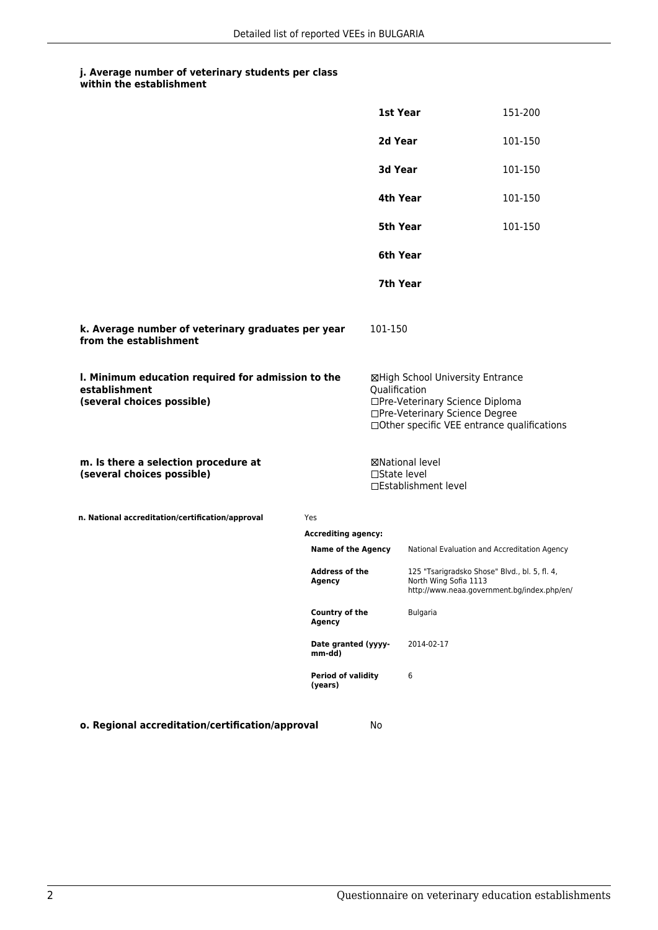### **j. Average number of veterinary students per class**

|                                                                                                   |                                                                                                                                                                   | 1st Year      |                                                                                                                                                       | 151-200 |
|---------------------------------------------------------------------------------------------------|-------------------------------------------------------------------------------------------------------------------------------------------------------------------|---------------|-------------------------------------------------------------------------------------------------------------------------------------------------------|---------|
|                                                                                                   |                                                                                                                                                                   | 2d Year       |                                                                                                                                                       | 101-150 |
|                                                                                                   |                                                                                                                                                                   | 3d Year       |                                                                                                                                                       | 101-150 |
|                                                                                                   |                                                                                                                                                                   |               | 4th Year                                                                                                                                              | 101-150 |
|                                                                                                   |                                                                                                                                                                   | 5th Year      |                                                                                                                                                       | 101-150 |
|                                                                                                   |                                                                                                                                                                   | 6th Year      |                                                                                                                                                       |         |
|                                                                                                   |                                                                                                                                                                   |               | 7th Year                                                                                                                                              |         |
| k. Average number of veterinary graduates per year<br>from the establishment                      |                                                                                                                                                                   | 101-150       |                                                                                                                                                       |         |
| I. Minimum education required for admission to the<br>establishment<br>(several choices possible) |                                                                                                                                                                   | Qualification | ⊠High School University Entrance<br>□Pre-Veterinary Science Diploma<br>□Pre-Veterinary Science Degree<br>□ Other specific VEE entrance qualifications |         |
| m. Is there a selection procedure at<br>(several choices possible)                                |                                                                                                                                                                   | □State level  | <b>⊠National level</b><br>□Establishment level                                                                                                        |         |
| n. National accreditation/certification/approval                                                  | Yes                                                                                                                                                               |               |                                                                                                                                                       |         |
|                                                                                                   | <b>Accrediting agency:</b>                                                                                                                                        |               |                                                                                                                                                       |         |
|                                                                                                   | <b>Name of the Agency</b><br><b>Address of the</b><br>Agency<br>Country of the<br>Agency<br>Date granted (yyyy-<br>mm-dd)<br><b>Period of validity</b><br>(years) |               | National Evaluation and Accreditation Agency                                                                                                          |         |
|                                                                                                   |                                                                                                                                                                   |               | 125 "Tsarigradsko Shose" Blvd., bl. 5, fl. 4,<br>North Wing Sofia 1113<br>http://www.neaa.government.bg/index.php/en/                                 |         |
|                                                                                                   |                                                                                                                                                                   |               | <b>Bulgaria</b>                                                                                                                                       |         |
|                                                                                                   |                                                                                                                                                                   |               | 2014-02-17                                                                                                                                            |         |
|                                                                                                   |                                                                                                                                                                   |               | 6                                                                                                                                                     |         |
| o. Regional accreditation/certification/approval                                                  |                                                                                                                                                                   | No            |                                                                                                                                                       |         |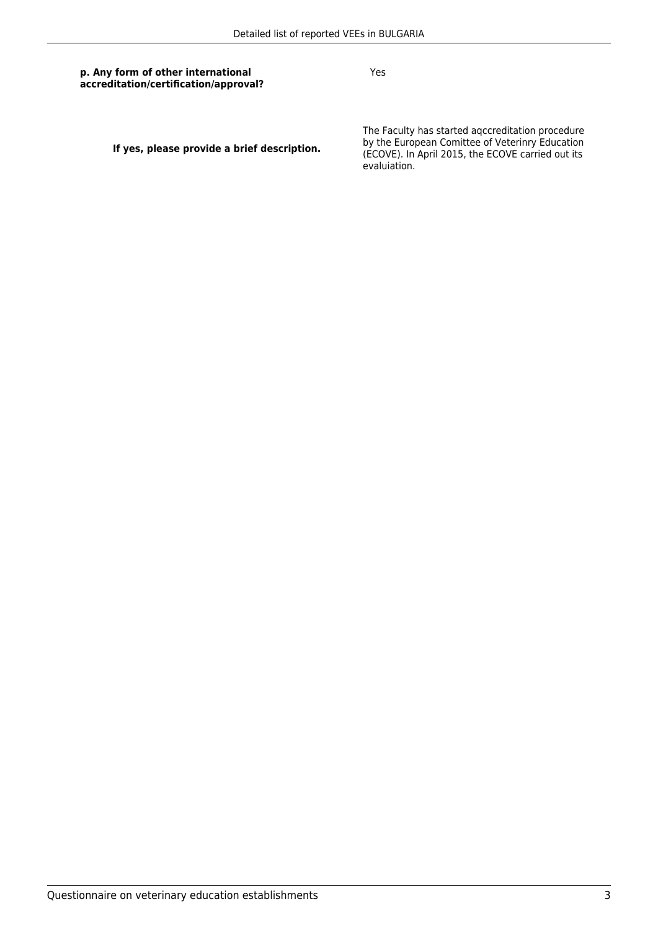#### **p. Any form of other international accreditation/certification/approval?**

Yes

**If yes, please provide a brief description.**

The Faculty has started aqccreditation procedure by the European Comittee of Veterinry Education (ECOVE). In April 2015, the ECOVE carried out its evaluiation.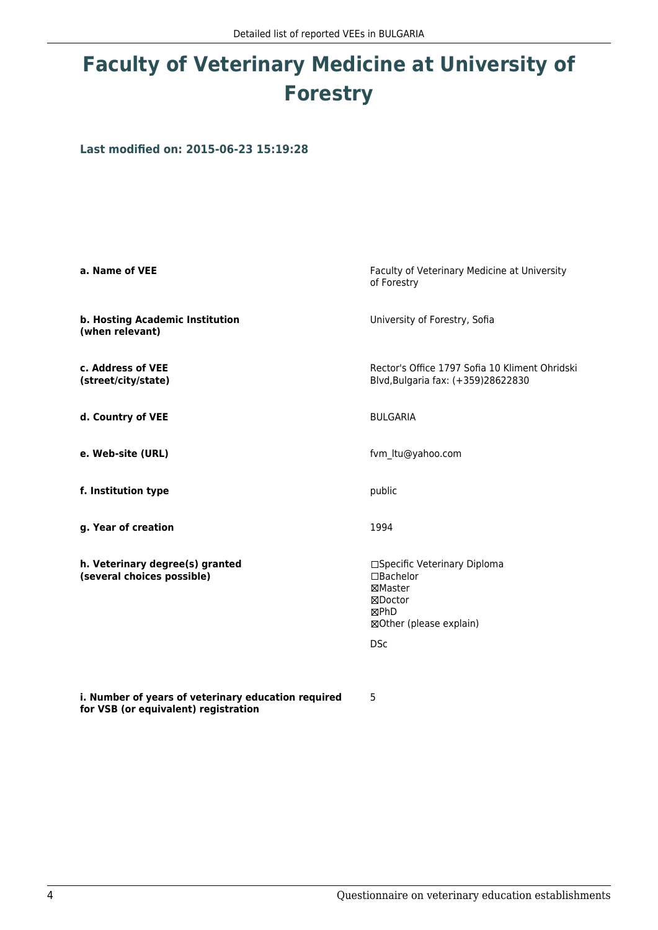# **Faculty of Veterinary Medicine at University of Forestry**

**Last modified on: 2015-06-23 15:19:28**

| a. Name of VEE                                                | Faculty of Veterinary Medicine at University<br>of Forestry                                                      |  |  |
|---------------------------------------------------------------|------------------------------------------------------------------------------------------------------------------|--|--|
| b. Hosting Academic Institution<br>(when relevant)            | University of Forestry, Sofia                                                                                    |  |  |
| c. Address of VEE<br>(street/city/state)                      | Rector's Office 1797 Sofia 10 Kliment Ohridski<br>Blvd, Bulgaria fax: (+359)28622830                             |  |  |
| d. Country of VEE                                             | <b>BULGARIA</b>                                                                                                  |  |  |
| e. Web-site (URL)                                             | fvm ltu@yahoo.com                                                                                                |  |  |
| f. Institution type                                           | public                                                                                                           |  |  |
| g. Year of creation                                           | 1994                                                                                                             |  |  |
| h. Veterinary degree(s) granted<br>(several choices possible) | □Specific Veterinary Diploma<br>□Bachelor<br>⊠Master<br>⊠Doctor<br>⊠PhD<br>⊠Other (please explain)<br><b>DSc</b> |  |  |

5

**i. Number of years of veterinary education required for VSB (or equivalent) registration**